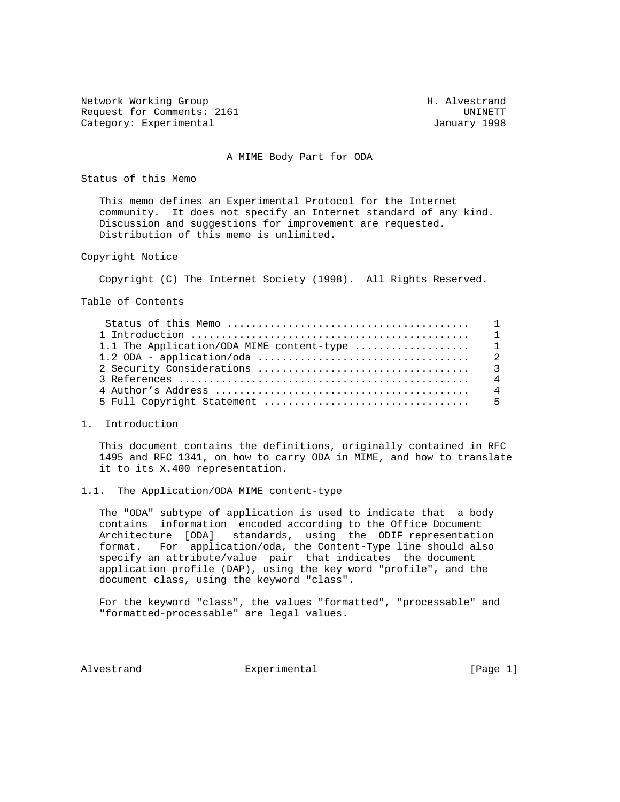Network Working Group Network More Sharehouse H. Alvestrand Request for Comments: 2161 UNINETT Category: Experimental January 1998

#### A MIME Body Part for ODA

Status of this Memo

 This memo defines an Experimental Protocol for the Internet community. It does not specify an Internet standard of any kind. Discussion and suggestions for improvement are requested. Distribution of this memo is unlimited.

Copyright Notice

Copyright (C) The Internet Society (1998). All Rights Reserved.

Table of Contents

| 1.1 The Application/ODA MIME content-type $\ldots \ldots \ldots \ldots \ldots$ |  |
|--------------------------------------------------------------------------------|--|
|                                                                                |  |
|                                                                                |  |
|                                                                                |  |
|                                                                                |  |
|                                                                                |  |

1. Introduction

 This document contains the definitions, originally contained in RFC 1495 and RFC 1341, on how to carry ODA in MIME, and how to translate it to its X.400 representation.

1.1. The Application/ODA MIME content-type

 The "ODA" subtype of application is used to indicate that a body contains information encoded according to the Office Document Architecture [ODA] standards, using the ODIF representation format. For application/oda, the Content-Type line should also specify an attribute/value pair that indicates the document application profile (DAP), using the key word "profile", and the document class, using the keyword "class".

 For the keyword "class", the values "formatted", "processable" and "formatted-processable" are legal values.

Alvestrand Experimental Experimental [Page 1]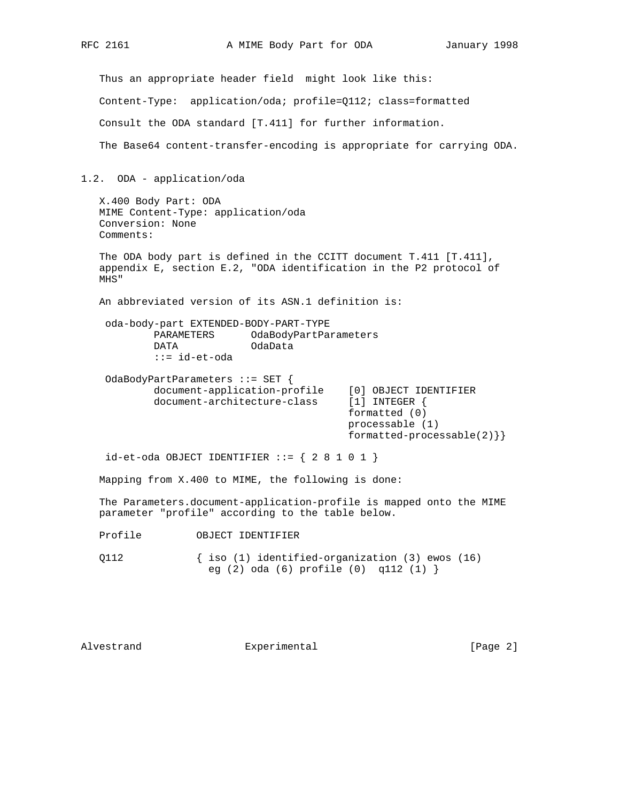Thus an appropriate header field might look like this: Content-Type: application/oda; profile=Q112; class=formatted Consult the ODA standard [T.411] for further information. The Base64 content-transfer-encoding is appropriate for carrying ODA. 1.2. ODA - application/oda X.400 Body Part: ODA MIME Content-Type: application/oda Conversion: None Comments: The ODA body part is defined in the CCITT document T.411 [T.411], appendix E, section E.2, "ODA identification in the P2 protocol of MHS" An abbreviated version of its ASN.1 definition is: oda-body-part EXTENDED-BODY-PART-TYPE PARAMETERS OdaBodyPartParameters DATA OdaData ::= id-et-oda OdaBodyPartParameters ::= SET { document-application-profile [0] OBJECT IDENTIFIER<br>document-architecture-class [1] INTEGER { document-architecture-class formatted (0) processable (1) formatted-processable(2)}}  $id$ -et-oda OBJECT IDENTIFIER  $::=$  { 2 8 1 0 1 } Mapping from X.400 to MIME, the following is done: The Parameters.document-application-profile is mapped onto the MIME parameter "profile" according to the table below. Profile OBJECT IDENTIFIER Q112 { iso (1) identified-organization (3) ewos (16) eg (2) oda (6) profile (0) q112 (1) }

Alvestrand Experimental Experimental [Page 2]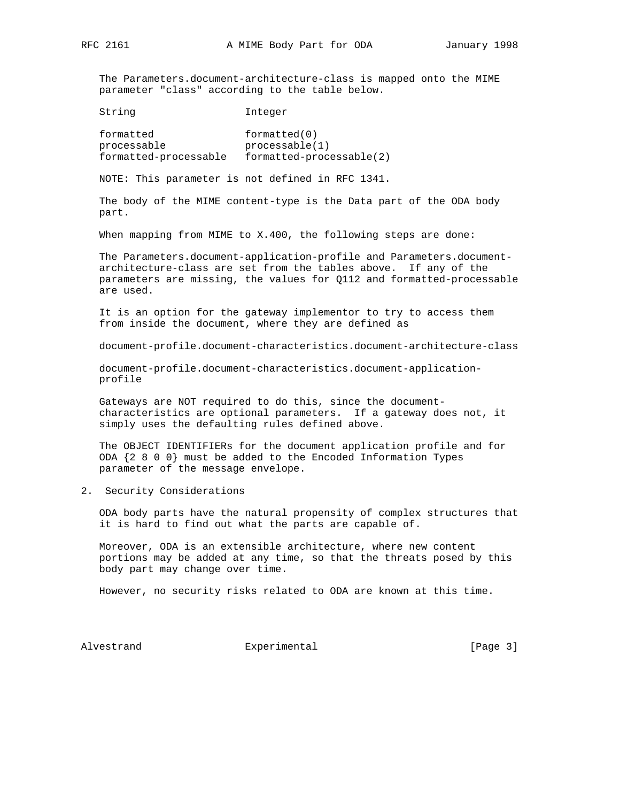The Parameters.document-architecture-class is mapped onto the MIME parameter "class" according to the table below.

String Integer

 formatted formatted(0) processable processable(1) formatted-processable formatted-processable(2)

NOTE: This parameter is not defined in RFC 1341.

 The body of the MIME content-type is the Data part of the ODA body part.

When mapping from MIME to X.400, the following steps are done:

 The Parameters.document-application-profile and Parameters.document architecture-class are set from the tables above. If any of the parameters are missing, the values for Q112 and formatted-processable are used.

 It is an option for the gateway implementor to try to access them from inside the document, where they are defined as

document-profile.document-characteristics.document-architecture-class

 document-profile.document-characteristics.document-application profile

 Gateways are NOT required to do this, since the document characteristics are optional parameters. If a gateway does not, it simply uses the defaulting rules defined above.

 The OBJECT IDENTIFIERs for the document application profile and for ODA {2 8 0 0} must be added to the Encoded Information Types parameter of the message envelope.

2. Security Considerations

 ODA body parts have the natural propensity of complex structures that it is hard to find out what the parts are capable of.

 Moreover, ODA is an extensible architecture, where new content portions may be added at any time, so that the threats posed by this body part may change over time.

However, no security risks related to ODA are known at this time.

Alvestrand Experimental Experimental [Page 3]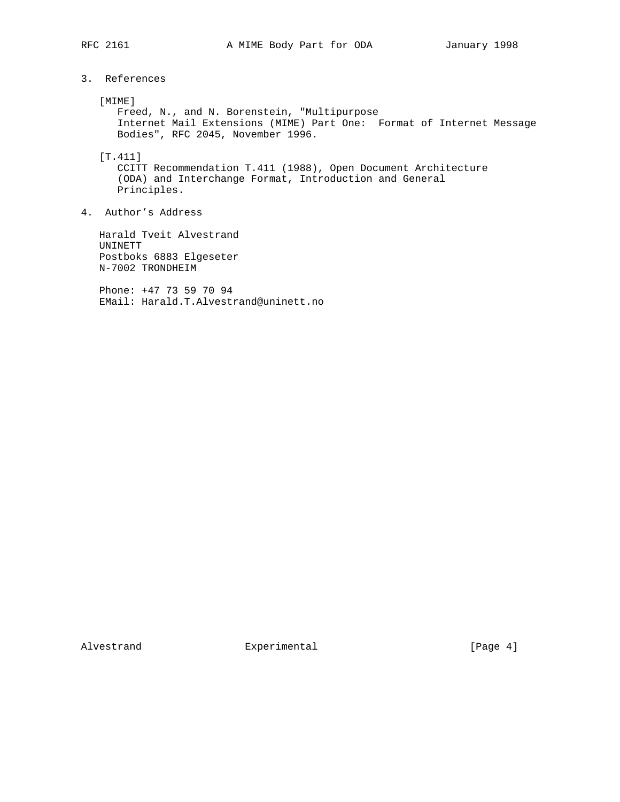# 3. References

## [MIME]

 Freed, N., and N. Borenstein, "Multipurpose Internet Mail Extensions (MIME) Part One: Format of Internet Message Bodies", RFC 2045, November 1996.

### [T.411]

 CCITT Recommendation T.411 (1988), Open Document Architecture (ODA) and Interchange Format, Introduction and General Principles.

# 4. Author's Address

 Harald Tveit Alvestrand UNINETT Postboks 6883 Elgeseter N-7002 TRONDHEIM

 Phone: +47 73 59 70 94 EMail: Harald.T.Alvestrand@uninett.no

Alvestrand Experimental Experimental [Page 4]